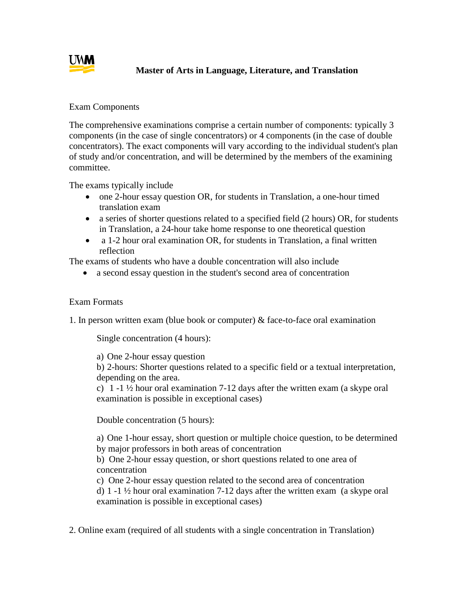

## **Master of Arts in Language, Literature, and Translation**

## Exam Components

The comprehensive examinations comprise a certain number of components: typically 3 components (in the case of single concentrators) or 4 components (in the case of double concentrators). The exact components will vary according to the individual student's plan of study and/or concentration, and will be determined by the members of the examining committee.

The exams typically include

- one 2-hour essay question OR, for students in Translation, a one-hour timed translation exam
- a series of shorter questions related to a specified field (2 hours) OR, for students in Translation, a 24-hour take home response to one theoretical question
- a 1-2 hour oral examination OR, for students in Translation, a final written reflection

The exams of students who have a double concentration will also include

a second essay question in the student's second area of concentration

## Exam Formats

1. In person written exam (blue book or computer) & face-to-face oral examination

Single concentration (4 hours):

a) One 2-hour essay question

b) 2-hours: Shorter questions related to a specific field or a textual interpretation, depending on the area.

c) 1 -1  $\frac{1}{2}$  hour oral examination 7-12 days after the written exam (a skype oral examination is possible in exceptional cases)

Double concentration (5 hours):

a) One 1-hour essay, short question or multiple choice question, to be determined by major professors in both areas of concentration

b) One 2-hour essay question, or short questions related to one area of concentration

c) One 2-hour essay question related to the second area of concentration

d) 1 -1  $\frac{1}{2}$  hour oral examination 7-12 days after the written exam (a skype oral examination is possible in exceptional cases)

2. Online exam (required of all students with a single concentration in Translation)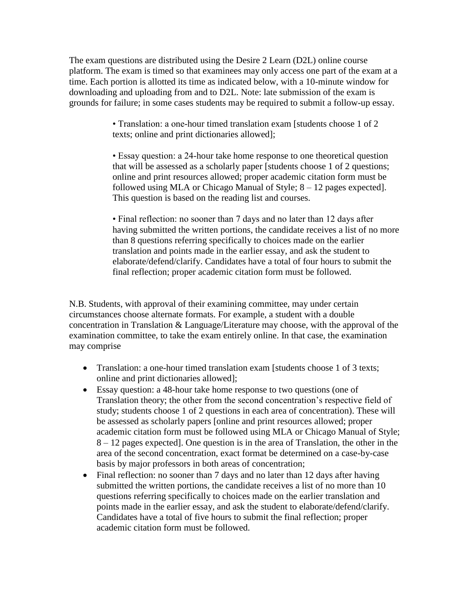The exam questions are distributed using the Desire 2 Learn (D2L) online course platform. The exam is timed so that examinees may only access one part of the exam at a time. Each portion is allotted its time as indicated below, with a 10-minute window for downloading and uploading from and to D2L. Note: late submission of the exam is grounds for failure; in some cases students may be required to submit a follow-up essay.

> • Translation: a one-hour timed translation exam [students choose 1 of 2 texts; online and print dictionaries allowed];

• Essay question: a 24-hour take home response to one theoretical question that will be assessed as a scholarly paper [students choose 1 of 2 questions; online and print resources allowed; proper academic citation form must be followed using MLA or Chicago Manual of Style; 8 – 12 pages expected]. This question is based on the reading list and courses.

• Final reflection: no sooner than 7 days and no later than 12 days after having submitted the written portions, the candidate receives a list of no more than 8 questions referring specifically to choices made on the earlier translation and points made in the earlier essay, and ask the student to elaborate/defend/clarify. Candidates have a total of four hours to submit the final reflection; proper academic citation form must be followed.

N.B. Students, with approval of their examining committee, may under certain circumstances choose alternate formats. For example, a student with a double concentration in Translation & Language/Literature may choose, with the approval of the examination committee, to take the exam entirely online. In that case, the examination may comprise

- Translation: a one-hour timed translation exam [students choose 1 of 3 texts; online and print dictionaries allowed];
- Essay question: a 48-hour take home response to two questions (one of Translation theory; the other from the second concentration's respective field of study; students choose 1 of 2 questions in each area of concentration). These will be assessed as scholarly papers [online and print resources allowed; proper academic citation form must be followed using MLA or Chicago Manual of Style; 8 – 12 pages expected]. One question is in the area of Translation, the other in the area of the second concentration, exact format be determined on a case-by-case basis by major professors in both areas of concentration;
- Final reflection: no sooner than 7 days and no later than 12 days after having submitted the written portions, the candidate receives a list of no more than 10 questions referring specifically to choices made on the earlier translation and points made in the earlier essay, and ask the student to elaborate/defend/clarify. Candidates have a total of five hours to submit the final reflection; proper academic citation form must be followed.